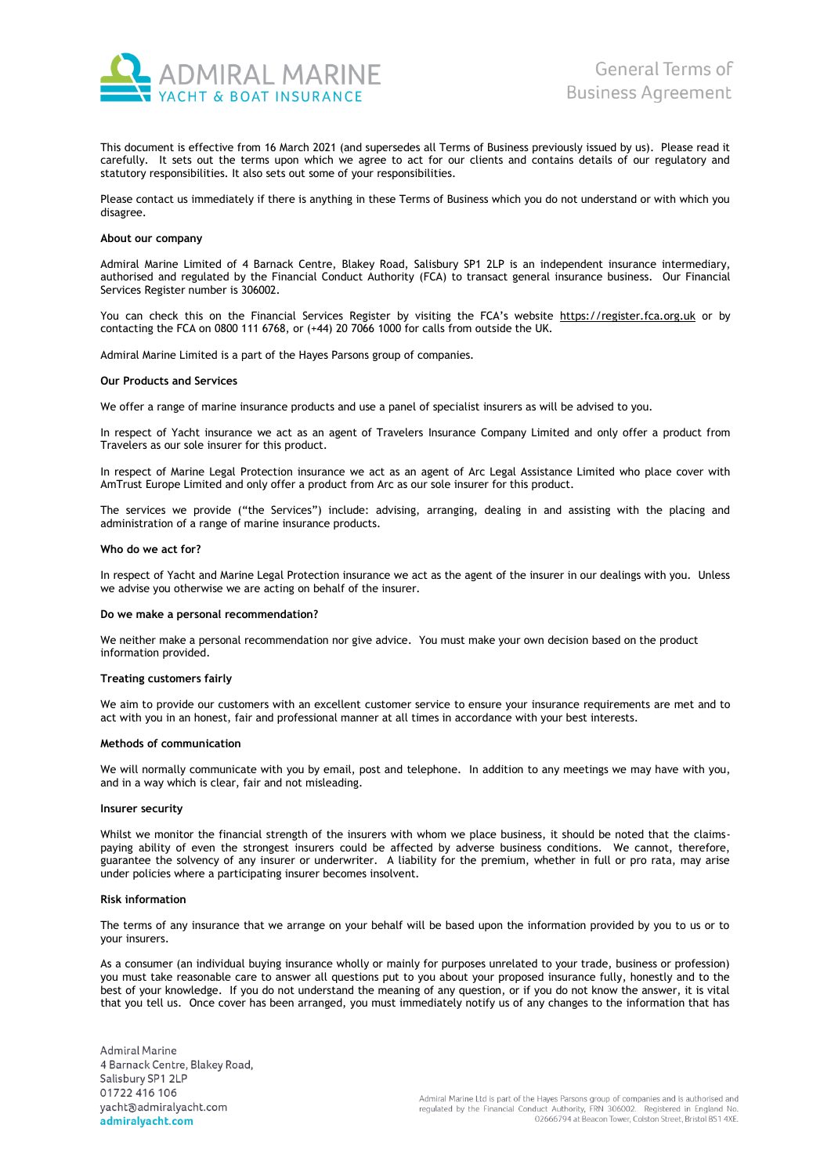

This document is effective from 16 March 2021 (and supersedes all Terms of Business previously issued by us). Please read it carefully. It sets out the terms upon which we agree to act for our clients and contains details of our regulatory and statutory responsibilities. It also sets out some of your responsibilities.

Please contact us immediately if there is anything in these Terms of Business which you do not understand or with which you disagree.

# **About our company**

Admiral Marine Limited of 4 Barnack Centre, Blakey Road, Salisbury SP1 2LP is an independent insurance intermediary, authorised and regulated by the Financial Conduct Authority (FCA) to transact general insurance business. Our Financial Services Register number is 306002.

You can check this on the Financial Services Register by visiting the FCA's website [https://register.fca.org.uk](https://register.fca.org.uk/) or by contacting the FCA on 0800 111 6768, or (+44) 20 7066 1000 for calls from outside the UK.

Admiral Marine Limited is a part of the Hayes Parsons group of companies.

## **Our Products and Services**

We offer a range of marine insurance products and use a panel of specialist insurers as will be advised to you.

In respect of Yacht insurance we act as an agent of Travelers Insurance Company Limited and only offer a product from Travelers as our sole insurer for this product.

In respect of Marine Legal Protection insurance we act as an agent of Arc Legal Assistance Limited who place cover with AmTrust Europe Limited and only offer a product from Arc as our sole insurer for this product.

The services we provide ("the Services") include: advising, arranging, dealing in and assisting with the placing and administration of a range of marine insurance products.

### **Who do we act for?**

In respect of Yacht and Marine Legal Protection insurance we act as the agent of the insurer in our dealings with you. Unless we advise you otherwise we are acting on behalf of the insurer.

### **Do we make a personal recommendation?**

We neither make a personal recommendation nor give advice. You must make your own decision based on the product information provided.

## **Treating customers fairly**

We aim to provide our customers with an excellent customer service to ensure your insurance requirements are met and to act with you in an honest, fair and professional manner at all times in accordance with your best interests.

### **Methods of communication**

We will normally communicate with you by email, post and telephone. In addition to any meetings we may have with you, and in a way which is clear, fair and not misleading.

## **Insurer security**

Whilst we monitor the financial strength of the insurers with whom we place business, it should be noted that the claimspaying ability of even the strongest insurers could be affected by adverse business conditions. We cannot, therefore, guarantee the solvency of any insurer or underwriter. A liability for the premium, whether in full or pro rata, may arise under policies where a participating insurer becomes insolvent.

#### **Risk information**

The terms of any insurance that we arrange on your behalf will be based upon the information provided by you to us or to your insurers.

As a consumer (an individual buying insurance wholly or mainly for purposes unrelated to your trade, business or profession) you must take reasonable care to answer all questions put to you about your proposed insurance fully, honestly and to the best of your knowledge. If you do not understand the meaning of any question, or if you do not know the answer, it is vital that you tell us. Once cover has been arranged, you must immediately notify us of any changes to the information that has

**Admiral Marine** 4 Barnack Centre, Blakey Road, Salisbury SP1 2LP 01722 416 106 yacht@admiralyacht.com admiralyacht.com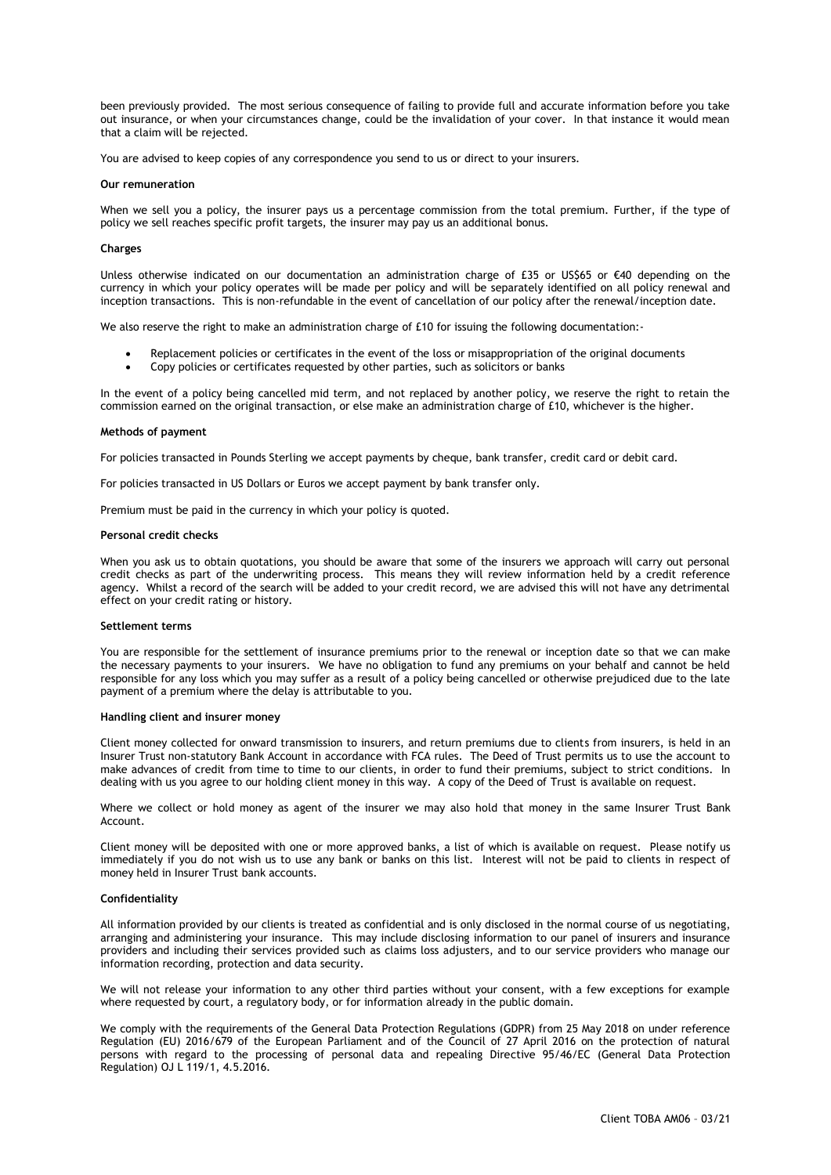been previously provided. The most serious consequence of failing to provide full and accurate information before you take out insurance, or when your circumstances change, could be the invalidation of your cover. In that instance it would mean that a claim will be rejected.

You are advised to keep copies of any correspondence you send to us or direct to your insurers.

### **Our remuneration**

When we sell you a policy, the insurer pays us a percentage commission from the total premium. Further, if the type of policy we sell reaches specific profit targets, the insurer may pay us an additional bonus.

## **Charges**

Unless otherwise indicated on our documentation an administration charge of £35 or US\$65 or €40 depending on the currency in which your policy operates will be made per policy and will be separately identified on all policy renewal and inception transactions. This is non-refundable in the event of cancellation of our policy after the renewal/inception date.

We also reserve the right to make an administration charge of £10 for issuing the following documentation:-

- Replacement policies or certificates in the event of the loss or misappropriation of the original documents
- Copy policies or certificates requested by other parties, such as solicitors or banks

In the event of a policy being cancelled mid term, and not replaced by another policy, we reserve the right to retain the commission earned on the original transaction, or else make an administration charge of £10, whichever is the higher.

### **Methods of payment**

For policies transacted in Pounds Sterling we accept payments by cheque, bank transfer, credit card or debit card.

For policies transacted in US Dollars or Euros we accept payment by bank transfer only.

Premium must be paid in the currency in which your policy is quoted.

## **Personal credit checks**

When you ask us to obtain quotations, you should be aware that some of the insurers we approach will carry out personal credit checks as part of the underwriting process. This means they will review information held by a credit reference agency. Whilst a record of the search will be added to your credit record, we are advised this will not have any detrimental effect on your credit rating or history.

#### **Settlement terms**

You are responsible for the settlement of insurance premiums prior to the renewal or inception date so that we can make the necessary payments to your insurers. We have no obligation to fund any premiums on your behalf and cannot be held responsible for any loss which you may suffer as a result of a policy being cancelled or otherwise prejudiced due to the late payment of a premium where the delay is attributable to you.

### **Handling client and insurer money**

Client money collected for onward transmission to insurers, and return premiums due to clients from insurers, is held in an Insurer Trust non-statutory Bank Account in accordance with FCA rules. The Deed of Trust permits us to use the account to make advances of credit from time to time to our clients, in order to fund their premiums, subject to strict conditions. In dealing with us you agree to our holding client money in this way. A copy of the Deed of Trust is available on request.

Where we collect or hold money as agent of the insurer we may also hold that money in the same Insurer Trust Bank Account.

Client money will be deposited with one or more approved banks, a list of which is available on request. Please notify us immediately if you do not wish us to use any bank or banks on this list. Interest will not be paid to clients in respect of money held in Insurer Trust bank accounts.

#### **Confidentiality**

All information provided by our clients is treated as confidential and is only disclosed in the normal course of us negotiating, arranging and administering your insurance. This may include disclosing information to our panel of insurers and insurance providers and including their services provided such as claims loss adjusters, and to our service providers who manage our information recording, protection and data security.

We will not release your information to any other third parties without your consent, with a few exceptions for example where requested by court, a regulatory body, or for information already in the public domain.

We comply with the requirements of the General Data Protection Regulations (GDPR) from 25 May 2018 on under reference Regulation (EU) 2016/679 of the European Parliament and of the Council of 27 April 2016 on the protection of natural persons with regard to the processing of personal data and repealing Directive 95/46/EC (General Data Protection Regulation) OJ L 119/1, 4.5.2016.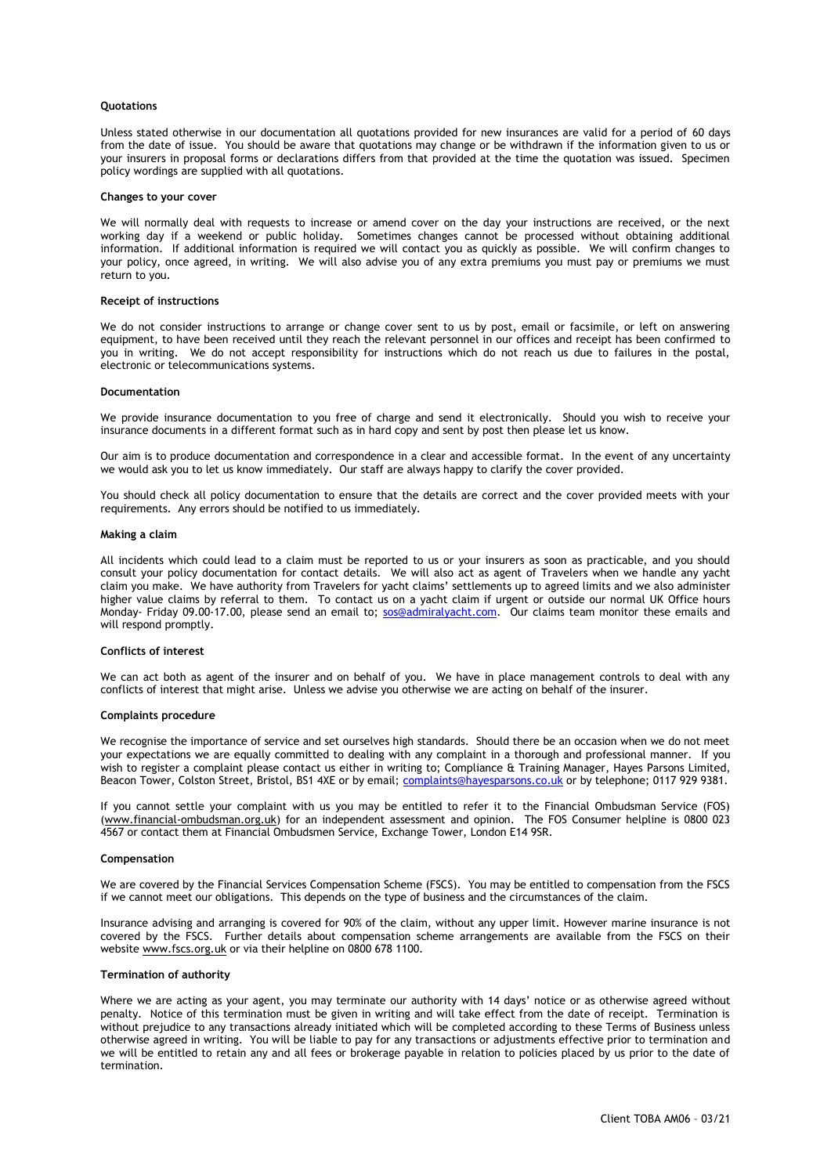# **Quotations**

Unless stated otherwise in our documentation all quotations provided for new insurances are valid for a period of 60 days from the date of issue. You should be aware that quotations may change or be withdrawn if the information given to us or your insurers in proposal forms or declarations differs from that provided at the time the quotation was issued. Specimen policy wordings are supplied with all quotations.

### **Changes to your cover**

We will normally deal with requests to increase or amend cover on the day your instructions are received, or the next working day if a weekend or public holiday. Sometimes changes cannot be processed without obtaining additional information. If additional information is required we will contact you as quickly as possible. We will confirm changes to your policy, once agreed, in writing. We will also advise you of any extra premiums you must pay or premiums we must return to you.

### **Receipt of instructions**

We do not consider instructions to arrange or change cover sent to us by post, email or facsimile, or left on answering equipment, to have been received until they reach the relevant personnel in our offices and receipt has been confirmed to you in writing. We do not accept responsibility for instructions which do not reach us due to failures in the postal, electronic or telecommunications systems.

### **Documentation**

We provide insurance documentation to you free of charge and send it electronically. Should you wish to receive your insurance documents in a different format such as in hard copy and sent by post then please let us know.

Our aim is to produce documentation and correspondence in a clear and accessible format. In the event of any uncertainty we would ask you to let us know immediately. Our staff are always happy to clarify the cover provided.

You should check all policy documentation to ensure that the details are correct and the cover provided meets with your requirements. Any errors should be notified to us immediately.

### **Making a claim**

All incidents which could lead to a claim must be reported to us or your insurers as soon as practicable, and you should consult your policy documentation for contact details. We will also act as agent of Travelers when we handle any yacht claim you make. We have authority from Travelers for yacht claims' settlements up to agreed limits and we also administer higher value claims by referral to them. To contact us on a yacht claim if urgent or outside our normal UK Office hours Monday- Friday 09.00-17.00, please send an email to; [sos@admiralyacht.com.](mailto:sos@admiralyacht.com) Our claims team monitor these emails and will respond promptly.

# **Conflicts of interest**

We can act both as agent of the insurer and on behalf of you. We have in place management controls to deal with any conflicts of interest that might arise. Unless we advise you otherwise we are acting on behalf of the insurer.

## **Complaints procedure**

We recognise the importance of service and set ourselves high standards. Should there be an occasion when we do not meet your expectations we are equally committed to dealing with any complaint in a thorough and professional manner. If you wish to register a complaint please contact us either in writing to; Compliance & Training Manager, Hayes Parsons Limited, Beacon Tower, Colston Street, Bristol, BS1 4XE or by email[; complaints@hayesparsons.co.uk](mailto:complaints@hayesparsons.co.uk) or by telephone; 0117 929 9381.

If you cannot settle your complaint with us you may be entitled to refer it to the Financial Ombudsman Service (FOS) [\(www.financial-ombudsman.org.uk\)](http://www.financial-ombudsman.org.uk/) for an independent assessment and opinion. The FOS Consumer helpline is 0800 023 4567 or contact them at Financial Ombudsmen Service, Exchange Tower, London E14 9SR.

## **Compensation**

We are covered by the Financial Services Compensation Scheme (FSCS). You may be entitled to compensation from the FSCS if we cannot meet our obligations. This depends on the type of business and the circumstances of the claim.

Insurance advising and arranging is covered for 90% of the claim, without any upper limit. However marine insurance is not covered by the FSCS. Further details about compensation scheme arrangements are available from the FSCS on their website [www.fscs.org.uk](http://www.fscs.org.uk/) or via their helpline on 0800 678 1100.

## **Termination of authority**

Where we are acting as your agent, you may terminate our authority with 14 days' notice or as otherwise agreed without penalty. Notice of this termination must be given in writing and will take effect from the date of receipt. Termination is without prejudice to any transactions already initiated which will be completed according to these Terms of Business unless otherwise agreed in writing. You will be liable to pay for any transactions or adjustments effective prior to termination and we will be entitled to retain any and all fees or brokerage payable in relation to policies placed by us prior to the date of termination.